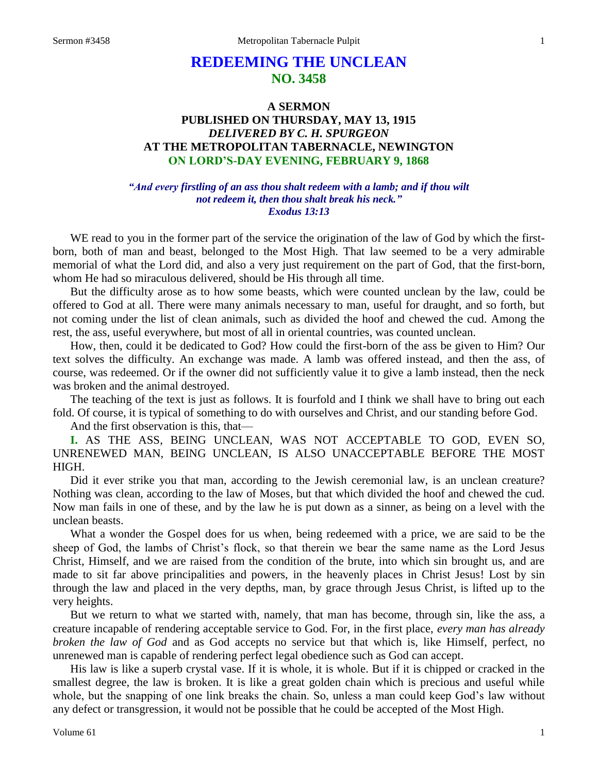# **REDEEMING THE UNCLEAN NO. 3458**

## **A SERMON PUBLISHED ON THURSDAY, MAY 13, 1915** *DELIVERED BY C. H. SPURGEON* **AT THE METROPOLITAN TABERNACLE, NEWINGTON ON LORD'S-DAY EVENING, FEBRUARY 9, 1868**

#### *"And every firstling of an ass thou shalt redeem with a lamb; and if thou wilt not redeem it, then thou shalt break his neck." Exodus 13:13*

WE read to you in the former part of the service the origination of the law of God by which the firstborn, both of man and beast, belonged to the Most High. That law seemed to be a very admirable memorial of what the Lord did, and also a very just requirement on the part of God, that the first-born, whom He had so miraculous delivered, should be His through all time.

But the difficulty arose as to how some beasts, which were counted unclean by the law, could be offered to God at all. There were many animals necessary to man, useful for draught, and so forth, but not coming under the list of clean animals, such as divided the hoof and chewed the cud. Among the rest, the ass, useful everywhere, but most of all in oriental countries, was counted unclean.

How, then, could it be dedicated to God? How could the first-born of the ass be given to Him? Our text solves the difficulty. An exchange was made. A lamb was offered instead, and then the ass, of course, was redeemed. Or if the owner did not sufficiently value it to give a lamb instead, then the neck was broken and the animal destroyed.

The teaching of the text is just as follows. It is fourfold and I think we shall have to bring out each fold. Of course, it is typical of something to do with ourselves and Christ, and our standing before God.

And the first observation is this, that—

**I.** AS THE ASS, BEING UNCLEAN, WAS NOT ACCEPTABLE TO GOD, EVEN SO, UNRENEWED MAN, BEING UNCLEAN, IS ALSO UNACCEPTABLE BEFORE THE MOST HIGH.

Did it ever strike you that man, according to the Jewish ceremonial law, is an unclean creature? Nothing was clean, according to the law of Moses, but that which divided the hoof and chewed the cud. Now man fails in one of these, and by the law he is put down as a sinner, as being on a level with the unclean beasts.

What a wonder the Gospel does for us when, being redeemed with a price, we are said to be the sheep of God, the lambs of Christ's flock, so that therein we bear the same name as the Lord Jesus Christ, Himself, and we are raised from the condition of the brute, into which sin brought us, and are made to sit far above principalities and powers, in the heavenly places in Christ Jesus! Lost by sin through the law and placed in the very depths, man, by grace through Jesus Christ, is lifted up to the very heights.

But we return to what we started with, namely, that man has become, through sin, like the ass, a creature incapable of rendering acceptable service to God. For, in the first place, *every man has already broken the law of God* and as God accepts no service but that which is, like Himself, perfect, no unrenewed man is capable of rendering perfect legal obedience such as God can accept.

His law is like a superb crystal vase. If it is whole, it is whole. But if it is chipped or cracked in the smallest degree, the law is broken. It is like a great golden chain which is precious and useful while whole, but the snapping of one link breaks the chain. So, unless a man could keep God's law without any defect or transgression, it would not be possible that he could be accepted of the Most High.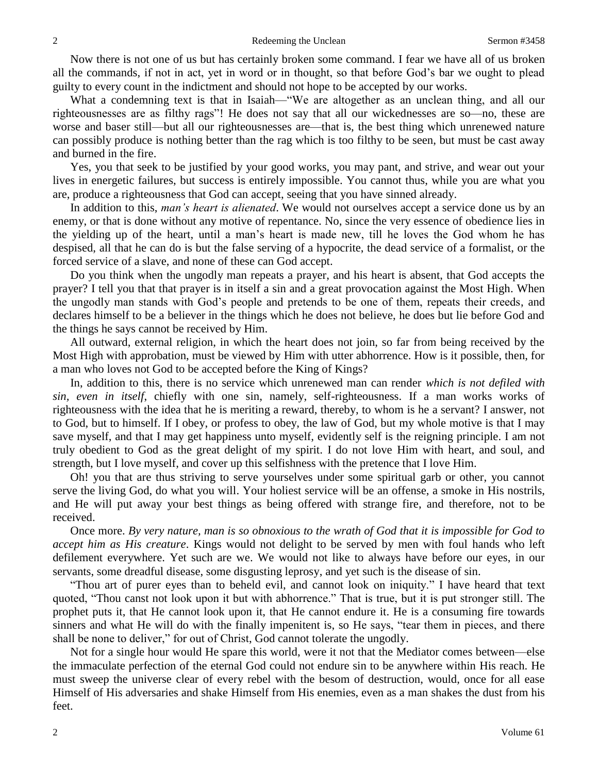Now there is not one of us but has certainly broken some command. I fear we have all of us broken all the commands, if not in act, yet in word or in thought, so that before God's bar we ought to plead guilty to every count in the indictment and should not hope to be accepted by our works.

What a condemning text is that in Isaiah—"We are altogether as an unclean thing, and all our righteousnesses are as filthy rags"! He does not say that all our wickednesses are so—no, these are worse and baser still—but all our righteousnesses are—that is, the best thing which unrenewed nature can possibly produce is nothing better than the rag which is too filthy to be seen, but must be cast away and burned in the fire.

Yes, you that seek to be justified by your good works, you may pant, and strive, and wear out your lives in energetic failures, but success is entirely impossible. You cannot thus, while you are what you are, produce a righteousness that God can accept, seeing that you have sinned already.

In addition to this, *man's heart is alienated*. We would not ourselves accept a service done us by an enemy, or that is done without any motive of repentance. No, since the very essence of obedience lies in the yielding up of the heart, until a man's heart is made new, till he loves the God whom he has despised, all that he can do is but the false serving of a hypocrite, the dead service of a formalist, or the forced service of a slave, and none of these can God accept.

Do you think when the ungodly man repeats a prayer, and his heart is absent, that God accepts the prayer? I tell you that that prayer is in itself a sin and a great provocation against the Most High. When the ungodly man stands with God's people and pretends to be one of them, repeats their creeds, and declares himself to be a believer in the things which he does not believe, he does but lie before God and the things he says cannot be received by Him.

All outward, external religion, in which the heart does not join, so far from being received by the Most High with approbation, must be viewed by Him with utter abhorrence. How is it possible, then, for a man who loves not God to be accepted before the King of Kings?

In, addition to this, there is no service which unrenewed man can render *which is not defiled with sin, even in itself*, chiefly with one sin, namely, self-righteousness. If a man works works of righteousness with the idea that he is meriting a reward, thereby, to whom is he a servant? I answer, not to God, but to himself. If I obey, or profess to obey, the law of God, but my whole motive is that I may save myself, and that I may get happiness unto myself, evidently self is the reigning principle. I am not truly obedient to God as the great delight of my spirit. I do not love Him with heart, and soul, and strength, but I love myself, and cover up this selfishness with the pretence that I love Him.

Oh! you that are thus striving to serve yourselves under some spiritual garb or other, you cannot serve the living God, do what you will. Your holiest service will be an offense, a smoke in His nostrils, and He will put away your best things as being offered with strange fire, and therefore, not to be received.

Once more. *By very nature, man is so obnoxious to the wrath of God that it is impossible for God to accept him as His creature*. Kings would not delight to be served by men with foul hands who left defilement everywhere. Yet such are we. We would not like to always have before our eyes, in our servants, some dreadful disease, some disgusting leprosy, and yet such is the disease of sin.

"Thou art of purer eyes than to beheld evil, and cannot look on iniquity." I have heard that text quoted, "Thou canst not look upon it but with abhorrence." That is true, but it is put stronger still. The prophet puts it, that He cannot look upon it, that He cannot endure it. He is a consuming fire towards sinners and what He will do with the finally impenitent is, so He says, "tear them in pieces, and there shall be none to deliver," for out of Christ, God cannot tolerate the ungodly.

Not for a single hour would He spare this world, were it not that the Mediator comes between—else the immaculate perfection of the eternal God could not endure sin to be anywhere within His reach. He must sweep the universe clear of every rebel with the besom of destruction, would, once for all ease Himself of His adversaries and shake Himself from His enemies, even as a man shakes the dust from his feet.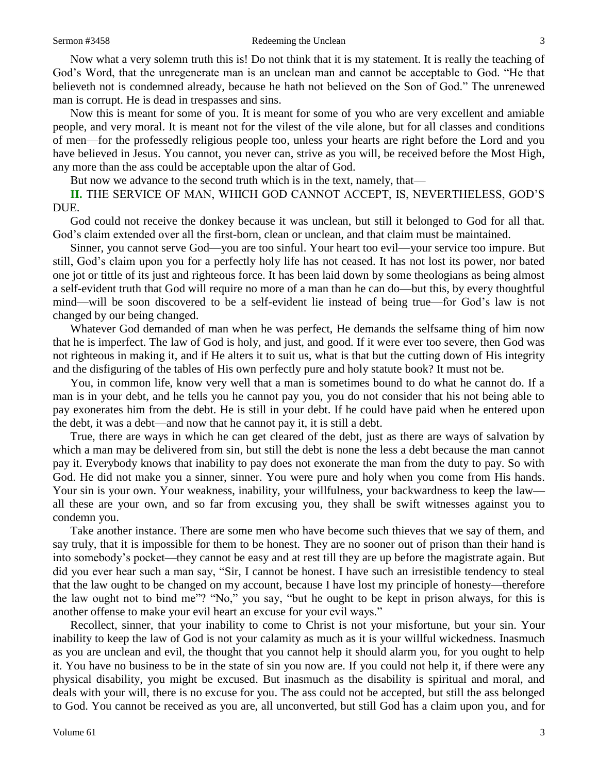Now what a very solemn truth this is! Do not think that it is my statement. It is really the teaching of God's Word, that the unregenerate man is an unclean man and cannot be acceptable to God. "He that believeth not is condemned already, because he hath not believed on the Son of God." The unrenewed man is corrupt. He is dead in trespasses and sins.

Now this is meant for some of you. It is meant for some of you who are very excellent and amiable people, and very moral. It is meant not for the vilest of the vile alone, but for all classes and conditions of men—for the professedly religious people too, unless your hearts are right before the Lord and you have believed in Jesus. You cannot, you never can, strive as you will, be received before the Most High, any more than the ass could be acceptable upon the altar of God.

But now we advance to the second truth which is in the text, namely, that—

**II.** THE SERVICE OF MAN, WHICH GOD CANNOT ACCEPT, IS, NEVERTHELESS, GOD'S DUE.

God could not receive the donkey because it was unclean, but still it belonged to God for all that. God's claim extended over all the first-born, clean or unclean, and that claim must be maintained.

Sinner, you cannot serve God—you are too sinful. Your heart too evil—your service too impure. But still, God's claim upon you for a perfectly holy life has not ceased. It has not lost its power, nor bated one jot or tittle of its just and righteous force. It has been laid down by some theologians as being almost a self-evident truth that God will require no more of a man than he can do—but this, by every thoughtful mind—will be soon discovered to be a self-evident lie instead of being true—for God's law is not changed by our being changed.

Whatever God demanded of man when he was perfect, He demands the selfsame thing of him now that he is imperfect. The law of God is holy, and just, and good. If it were ever too severe, then God was not righteous in making it, and if He alters it to suit us, what is that but the cutting down of His integrity and the disfiguring of the tables of His own perfectly pure and holy statute book? It must not be.

You, in common life, know very well that a man is sometimes bound to do what he cannot do. If a man is in your debt, and he tells you he cannot pay you, you do not consider that his not being able to pay exonerates him from the debt. He is still in your debt. If he could have paid when he entered upon the debt, it was a debt—and now that he cannot pay it, it is still a debt.

True, there are ways in which he can get cleared of the debt, just as there are ways of salvation by which a man may be delivered from sin, but still the debt is none the less a debt because the man cannot pay it. Everybody knows that inability to pay does not exonerate the man from the duty to pay. So with God. He did not make you a sinner, sinner. You were pure and holy when you come from His hands. Your sin is your own. Your weakness, inability, your willfulness, your backwardness to keep the law all these are your own, and so far from excusing you, they shall be swift witnesses against you to condemn you.

Take another instance. There are some men who have become such thieves that we say of them, and say truly, that it is impossible for them to be honest. They are no sooner out of prison than their hand is into somebody's pocket—they cannot be easy and at rest till they are up before the magistrate again. But did you ever hear such a man say, "Sir, I cannot be honest. I have such an irresistible tendency to steal that the law ought to be changed on my account, because I have lost my principle of honesty—therefore the law ought not to bind me"? "No," you say, "but he ought to be kept in prison always, for this is another offense to make your evil heart an excuse for your evil ways."

Recollect, sinner, that your inability to come to Christ is not your misfortune, but your sin. Your inability to keep the law of God is not your calamity as much as it is your willful wickedness. Inasmuch as you are unclean and evil, the thought that you cannot help it should alarm you, for you ought to help it. You have no business to be in the state of sin you now are. If you could not help it, if there were any physical disability, you might be excused. But inasmuch as the disability is spiritual and moral, and deals with your will, there is no excuse for you. The ass could not be accepted, but still the ass belonged to God. You cannot be received as you are, all unconverted, but still God has a claim upon you, and for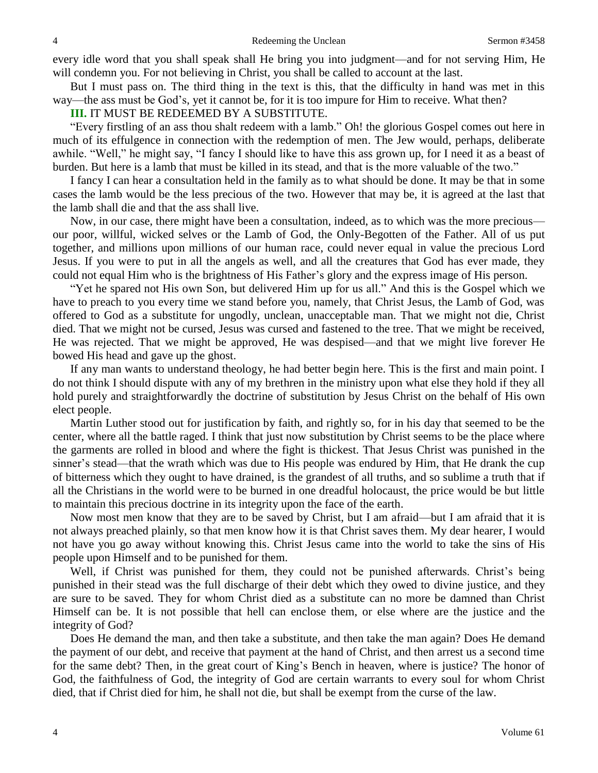every idle word that you shall speak shall He bring you into judgment—and for not serving Him, He will condemn you. For not believing in Christ, you shall be called to account at the last.

But I must pass on. The third thing in the text is this, that the difficulty in hand was met in this way—the ass must be God's, yet it cannot be, for it is too impure for Him to receive. What then?

#### **III.** IT MUST BE REDEEMED BY A SUBSTITUTE.

"Every firstling of an ass thou shalt redeem with a lamb." Oh! the glorious Gospel comes out here in much of its effulgence in connection with the redemption of men. The Jew would, perhaps, deliberate awhile. "Well," he might say, "I fancy I should like to have this ass grown up, for I need it as a beast of burden. But here is a lamb that must be killed in its stead, and that is the more valuable of the two."

I fancy I can hear a consultation held in the family as to what should be done. It may be that in some cases the lamb would be the less precious of the two. However that may be, it is agreed at the last that the lamb shall die and that the ass shall live.

Now, in our case, there might have been a consultation, indeed, as to which was the more precious our poor, willful, wicked selves or the Lamb of God, the Only-Begotten of the Father. All of us put together, and millions upon millions of our human race, could never equal in value the precious Lord Jesus. If you were to put in all the angels as well, and all the creatures that God has ever made, they could not equal Him who is the brightness of His Father's glory and the express image of His person.

"Yet he spared not His own Son, but delivered Him up for us all." And this is the Gospel which we have to preach to you every time we stand before you, namely, that Christ Jesus, the Lamb of God, was offered to God as a substitute for ungodly, unclean, unacceptable man. That we might not die, Christ died. That we might not be cursed, Jesus was cursed and fastened to the tree. That we might be received, He was rejected. That we might be approved, He was despised—and that we might live forever He bowed His head and gave up the ghost.

If any man wants to understand theology, he had better begin here. This is the first and main point. I do not think I should dispute with any of my brethren in the ministry upon what else they hold if they all hold purely and straightforwardly the doctrine of substitution by Jesus Christ on the behalf of His own elect people.

Martin Luther stood out for justification by faith, and rightly so, for in his day that seemed to be the center, where all the battle raged. I think that just now substitution by Christ seems to be the place where the garments are rolled in blood and where the fight is thickest. That Jesus Christ was punished in the sinner's stead—that the wrath which was due to His people was endured by Him, that He drank the cup of bitterness which they ought to have drained, is the grandest of all truths, and so sublime a truth that if all the Christians in the world were to be burned in one dreadful holocaust, the price would be but little to maintain this precious doctrine in its integrity upon the face of the earth.

Now most men know that they are to be saved by Christ, but I am afraid—but I am afraid that it is not always preached plainly, so that men know how it is that Christ saves them. My dear hearer, I would not have you go away without knowing this. Christ Jesus came into the world to take the sins of His people upon Himself and to be punished for them.

Well, if Christ was punished for them, they could not be punished afterwards. Christ's being punished in their stead was the full discharge of their debt which they owed to divine justice, and they are sure to be saved. They for whom Christ died as a substitute can no more be damned than Christ Himself can be. It is not possible that hell can enclose them, or else where are the justice and the integrity of God?

Does He demand the man, and then take a substitute, and then take the man again? Does He demand the payment of our debt, and receive that payment at the hand of Christ, and then arrest us a second time for the same debt? Then, in the great court of King's Bench in heaven, where is justice? The honor of God, the faithfulness of God, the integrity of God are certain warrants to every soul for whom Christ died, that if Christ died for him, he shall not die, but shall be exempt from the curse of the law.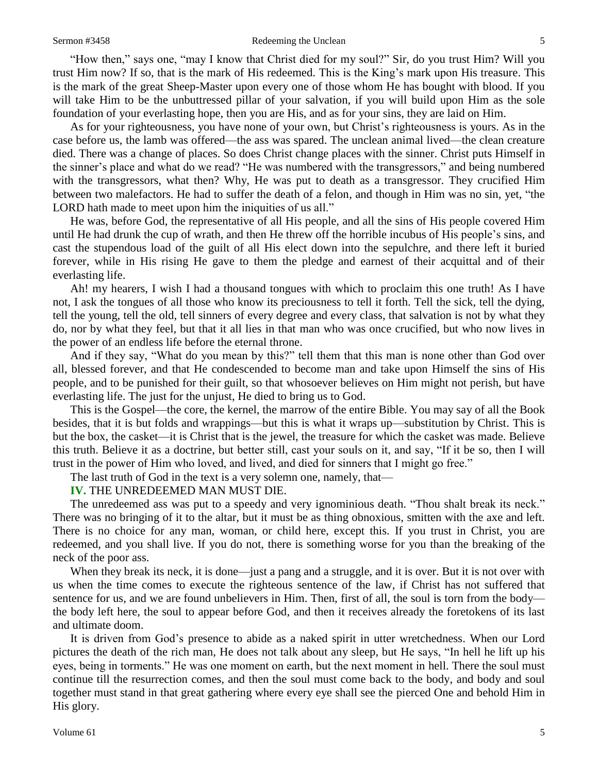#### Sermon #3458 Redeeming the Unclean 5

"How then," says one, "may I know that Christ died for my soul?" Sir, do you trust Him? Will you trust Him now? If so, that is the mark of His redeemed. This is the King's mark upon His treasure. This is the mark of the great Sheep-Master upon every one of those whom He has bought with blood. If you will take Him to be the unbuttressed pillar of your salvation, if you will build upon Him as the sole foundation of your everlasting hope, then you are His, and as for your sins, they are laid on Him.

As for your righteousness, you have none of your own, but Christ's righteousness is yours. As in the case before us, the lamb was offered—the ass was spared. The unclean animal lived—the clean creature died. There was a change of places. So does Christ change places with the sinner. Christ puts Himself in the sinner's place and what do we read? "He was numbered with the transgressors," and being numbered with the transgressors, what then? Why, He was put to death as a transgressor. They crucified Him between two malefactors. He had to suffer the death of a felon, and though in Him was no sin, yet, "the LORD hath made to meet upon him the iniquities of us all."

He was, before God, the representative of all His people, and all the sins of His people covered Him until He had drunk the cup of wrath, and then He threw off the horrible incubus of His people's sins, and cast the stupendous load of the guilt of all His elect down into the sepulchre, and there left it buried forever, while in His rising He gave to them the pledge and earnest of their acquittal and of their everlasting life.

Ah! my hearers, I wish I had a thousand tongues with which to proclaim this one truth! As I have not, I ask the tongues of all those who know its preciousness to tell it forth. Tell the sick, tell the dying, tell the young, tell the old, tell sinners of every degree and every class, that salvation is not by what they do, nor by what they feel, but that it all lies in that man who was once crucified, but who now lives in the power of an endless life before the eternal throne.

And if they say, "What do you mean by this?" tell them that this man is none other than God over all, blessed forever, and that He condescended to become man and take upon Himself the sins of His people, and to be punished for their guilt, so that whosoever believes on Him might not perish, but have everlasting life. The just for the unjust, He died to bring us to God.

This is the Gospel—the core, the kernel, the marrow of the entire Bible. You may say of all the Book besides, that it is but folds and wrappings—but this is what it wraps up—substitution by Christ. This is but the box, the casket—it is Christ that is the jewel, the treasure for which the casket was made. Believe this truth. Believe it as a doctrine, but better still, cast your souls on it, and say, "If it be so, then I will trust in the power of Him who loved, and lived, and died for sinners that I might go free."

The last truth of God in the text is a very solemn one, namely, that—

#### **IV.** THE UNREDEEMED MAN MUST DIE.

The unredeemed ass was put to a speedy and very ignominious death. "Thou shalt break its neck." There was no bringing of it to the altar, but it must be as thing obnoxious, smitten with the axe and left. There is no choice for any man, woman, or child here, except this. If you trust in Christ, you are redeemed, and you shall live. If you do not, there is something worse for you than the breaking of the neck of the poor ass.

When they break its neck, it is done—just a pang and a struggle, and it is over. But it is not over with us when the time comes to execute the righteous sentence of the law, if Christ has not suffered that sentence for us, and we are found unbelievers in Him. Then, first of all, the soul is torn from the body the body left here, the soul to appear before God, and then it receives already the foretokens of its last and ultimate doom.

It is driven from God's presence to abide as a naked spirit in utter wretchedness. When our Lord pictures the death of the rich man, He does not talk about any sleep, but He says, "In hell he lift up his eyes, being in torments." He was one moment on earth, but the next moment in hell. There the soul must continue till the resurrection comes, and then the soul must come back to the body, and body and soul together must stand in that great gathering where every eye shall see the pierced One and behold Him in His glory.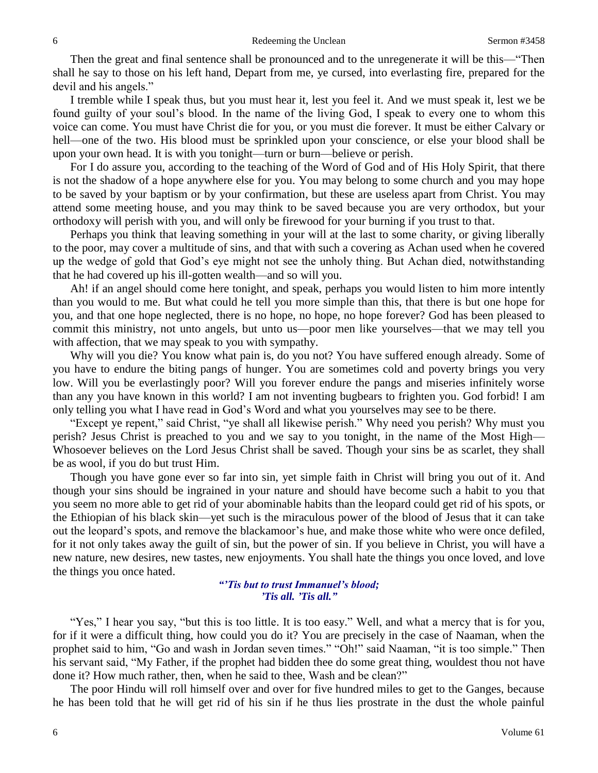Then the great and final sentence shall be pronounced and to the unregenerate it will be this—"Then shall he say to those on his left hand, Depart from me, ye cursed, into everlasting fire, prepared for the devil and his angels."

I tremble while I speak thus, but you must hear it, lest you feel it. And we must speak it, lest we be found guilty of your soul's blood. In the name of the living God, I speak to every one to whom this voice can come. You must have Christ die for you, or you must die forever. It must be either Calvary or hell—one of the two. His blood must be sprinkled upon your conscience, or else your blood shall be upon your own head. It is with you tonight—turn or burn—believe or perish.

For I do assure you, according to the teaching of the Word of God and of His Holy Spirit, that there is not the shadow of a hope anywhere else for you. You may belong to some church and you may hope to be saved by your baptism or by your confirmation, but these are useless apart from Christ. You may attend some meeting house, and you may think to be saved because you are very orthodox, but your orthodoxy will perish with you, and will only be firewood for your burning if you trust to that.

Perhaps you think that leaving something in your will at the last to some charity, or giving liberally to the poor, may cover a multitude of sins, and that with such a covering as Achan used when he covered up the wedge of gold that God's eye might not see the unholy thing. But Achan died, notwithstanding that he had covered up his ill-gotten wealth—and so will you.

Ah! if an angel should come here tonight, and speak, perhaps you would listen to him more intently than you would to me. But what could he tell you more simple than this, that there is but one hope for you, and that one hope neglected, there is no hope, no hope, no hope forever? God has been pleased to commit this ministry, not unto angels, but unto us—poor men like yourselves—that we may tell you with affection, that we may speak to you with sympathy.

Why will you die? You know what pain is, do you not? You have suffered enough already. Some of you have to endure the biting pangs of hunger. You are sometimes cold and poverty brings you very low. Will you be everlastingly poor? Will you forever endure the pangs and miseries infinitely worse than any you have known in this world? I am not inventing bugbears to frighten you. God forbid! I am only telling you what I have read in God's Word and what you yourselves may see to be there.

"Except ye repent," said Christ, "ye shall all likewise perish." Why need you perish? Why must you perish? Jesus Christ is preached to you and we say to you tonight, in the name of the Most High— Whosoever believes on the Lord Jesus Christ shall be saved. Though your sins be as scarlet, they shall be as wool, if you do but trust Him.

Though you have gone ever so far into sin, yet simple faith in Christ will bring you out of it. And though your sins should be ingrained in your nature and should have become such a habit to you that you seem no more able to get rid of your abominable habits than the leopard could get rid of his spots, or the Ethiopian of his black skin—yet such is the miraculous power of the blood of Jesus that it can take out the leopard's spots, and remove the blackamoor's hue, and make those white who were once defiled, for it not only takes away the guilt of sin, but the power of sin. If you believe in Christ, you will have a new nature, new desires, new tastes, new enjoyments. You shall hate the things you once loved, and love the things you once hated.

> *"'Tis but to trust Immanuel's blood; 'Tis all. 'Tis all."*

"Yes," I hear you say, "but this is too little. It is too easy." Well, and what a mercy that is for you, for if it were a difficult thing, how could you do it? You are precisely in the case of Naaman, when the prophet said to him, "Go and wash in Jordan seven times." "Oh!" said Naaman, "it is too simple." Then his servant said, "My Father, if the prophet had bidden thee do some great thing, wouldest thou not have done it? How much rather, then, when he said to thee, Wash and be clean?"

The poor Hindu will roll himself over and over for five hundred miles to get to the Ganges, because he has been told that he will get rid of his sin if he thus lies prostrate in the dust the whole painful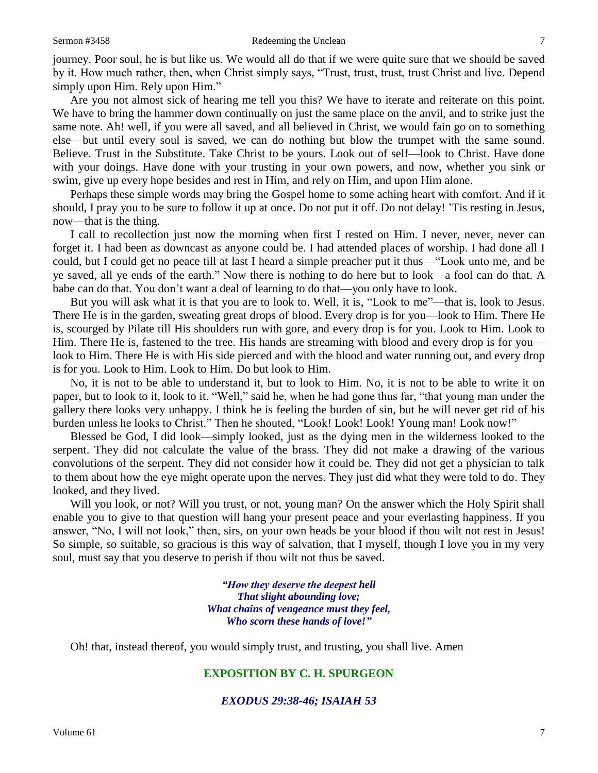journey. Poor soul, he is but like us. We would all do that if we were quite sure that we should be saved by it. How much rather, then, when Christ simply says, "Trust, trust, trust, trust Christ and live. Depend simply upon Him. Rely upon Him."

Are you not almost sick of hearing me tell you this? We have to iterate and reiterate on this point. We have to bring the hammer down continually on just the same place on the anvil, and to strike just the same note. Ah! well, if you were all saved, and all believed in Christ, we would fain go on to something else—but until every soul is saved, we can do nothing but blow the trumpet with the same sound. Believe. Trust in the Substitute. Take Christ to be yours. Look out of self—look to Christ. Have done with your doings. Have done with your trusting in your own powers, and now, whether you sink or swim, give up every hope besides and rest in Him, and rely on Him, and upon Him alone.

Perhaps these simple words may bring the Gospel home to some aching heart with comfort. And if it should, I pray you to be sure to follow it up at once. Do not put it off. Do not delay! 'Tis resting in Jesus, now—that is the thing.

I call to recollection just now the morning when first I rested on Him. I never, never, never can forget it. I had been as downcast as anyone could be. I had attended places of worship. I had done all I could, but I could get no peace till at last I heard a simple preacher put it thus—"Look unto me, and be ye saved, all ye ends of the earth." Now there is nothing to do here but to look—a fool can do that. A babe can do that. You don't want a deal of learning to do that—you only have to look.

But you will ask what it is that you are to look to. Well, it is, "Look to me"—that is, look to Jesus. There He is in the garden, sweating great drops of blood. Every drop is for you—look to Him. There He is, scourged by Pilate till His shoulders run with gore, and every drop is for you. Look to Him. Look to Him. There He is, fastened to the tree. His hands are streaming with blood and every drop is for youlook to Him. There He is with His side pierced and with the blood and water running out, and every drop is for you. Look to Him. Look to Him. Do but look to Him.

No, it is not to be able to understand it, but to look to Him. No, it is not to be able to write it on paper, but to look to it, look to it. "Well," said he, when he had gone thus far, "that young man under the gallery there looks very unhappy. I think he is feeling the burden of sin, but he will never get rid of his burden unless he looks to Christ." Then he shouted, "Look! Look! Look! Young man! Look now!"

Blessed be God, I did look—simply looked, just as the dying men in the wilderness looked to the serpent. They did not calculate the value of the brass. They did not make a drawing of the various convolutions of the serpent. They did not consider how it could be. They did not get a physician to talk to them about how the eye might operate upon the nerves. They just did what they were told to do. They looked, and they lived.

Will you look, or not? Will you trust, or not, young man? On the answer which the Holy Spirit shall enable you to give to that question will hang your present peace and your everlasting happiness. If you answer, "No, I will not look," then, sirs, on your own heads be your blood if thou wilt not rest in Jesus! So simple, so suitable, so gracious is this way of salvation, that I myself, though I love you in my very soul, must say that you deserve to perish if thou wilt not thus be saved.

> *"How they deserve the deepest hell That slight abounding love; What chains of vengeance must they feel, Who scorn these hands of love!"*

Oh! that, instead thereof, you would simply trust, and trusting, you shall live. Amen

### **EXPOSITION BY C. H. SPURGEON**

*EXODUS 29:38-46; ISAIAH 53*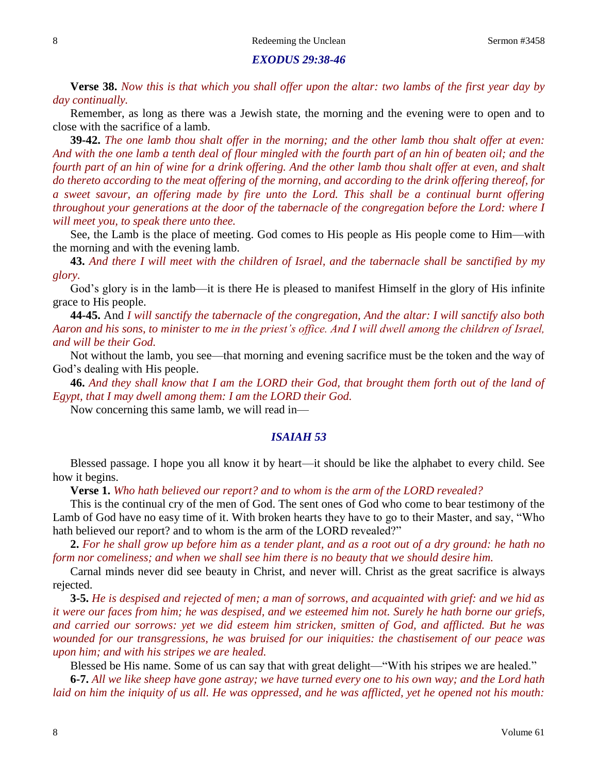#### *EXODUS 29:38-46*

**Verse 38.** *Now this is that which you shall offer upon the altar: two lambs of the first year day by day continually.* 

Remember, as long as there was a Jewish state, the morning and the evening were to open and to close with the sacrifice of a lamb.

**39-42.** *The one lamb thou shalt offer in the morning; and the other lamb thou shalt offer at even: And with the one lamb a tenth deal of flour mingled with the fourth part of an hin of beaten oil; and the fourth part of an hin of wine for a drink offering. And the other lamb thou shalt offer at even, and shalt do thereto according to the meat offering of the morning, and according to the drink offering thereof, for a sweet savour, an offering made by fire unto the Lord. This shall be a continual burnt offering throughout your generations at the door of the tabernacle of the congregation before the Lord: where I will meet you, to speak there unto thee.*

See, the Lamb is the place of meeting. God comes to His people as His people come to Him—with the morning and with the evening lamb.

**43.** *And there I will meet with the children of Israel, and the tabernacle shall be sanctified by my glory.* 

God's glory is in the lamb—it is there He is pleased to manifest Himself in the glory of His infinite grace to His people.

**44-45.** And *I will sanctify the tabernacle of the congregation, And the altar: I will sanctify also both Aaron and his sons, to minister to me in the priest's office. And I will dwell among the children of Israel, and will be their God.* 

Not without the lamb, you see—that morning and evening sacrifice must be the token and the way of God's dealing with His people.

**46.** *And they shall know that I am the LORD their God, that brought them forth out of the land of Egypt, that I may dwell among them: I am the LORD their God.* 

Now concerning this same lamb, we will read in—

#### *ISAIAH 53*

Blessed passage. I hope you all know it by heart—it should be like the alphabet to every child. See how it begins.

**Verse 1.** *Who hath believed our report? and to whom is the arm of the LORD revealed?* 

This is the continual cry of the men of God. The sent ones of God who come to bear testimony of the Lamb of God have no easy time of it. With broken hearts they have to go to their Master, and say, "Who hath believed our report? and to whom is the arm of the LORD revealed?"

**2.** *For he shall grow up before him as a tender plant, and as a root out of a dry ground: he hath no form nor comeliness; and when we shall see him there is no beauty that we should desire him.* 

Carnal minds never did see beauty in Christ, and never will. Christ as the great sacrifice is always rejected.

**3-5.** *He is despised and rejected of men; a man of sorrows, and acquainted with grief: and we hid as it were our faces from him; he was despised, and we esteemed him not. Surely he hath borne our griefs, and carried our sorrows: yet we did esteem him stricken, smitten of God, and afflicted. But he was wounded for our transgressions, he was bruised for our iniquities: the chastisement of our peace was upon him; and with his stripes we are healed.*

Blessed be His name. Some of us can say that with great delight—"With his stripes we are healed."

**6-7.** *All we like sheep have gone astray; we have turned every one to his own way; and the Lord hath laid on him the iniquity of us all. He was oppressed, and he was afflicted, yet he opened not his mouth:*